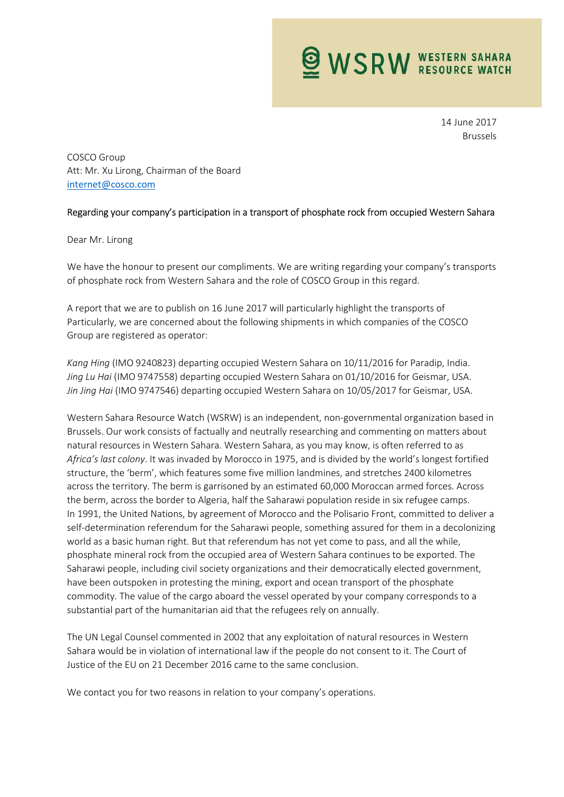**WSRW WESTERN SAHARA** 

14 June 2017 Brussels

COSCO Group Att: Mr. Xu Lirong, Chairman of the Board internet@cosco.com

## Regarding your company's participation in a transport of phosphate rock from occupied Western Sahara

## Dear Mr. Lirong

We have the honour to present our compliments. We are writing regarding your company's transports of phosphate rock from Western Sahara and the role of COSCO Group in this regard.

A report that we are to publish on 16 June 2017 will particularly highlight the transports of Particularly, we are concerned about the following shipments in which companies of the COSCO Group are registered as operator:

Kang Hing (IMO 9240823) departing occupied Western Sahara on 10/11/2016 for Paradip, India. Jing Lu Hai (IMO 9747558) departing occupied Western Sahara on 01/10/2016 for Geismar, USA. Jin Jing Hai (IMO 9747546) departing occupied Western Sahara on 10/05/2017 for Geismar, USA.

Western Sahara Resource Watch (WSRW) is an independent, non-governmental organization based in Brussels. Our work consists of factually and neutrally researching and commenting on matters about natural resources in Western Sahara. Western Sahara, as you may know, is often referred to as Africa's last colony. It was invaded by Morocco in 1975, and is divided by the world's longest fortified structure, the 'berm', which features some five million landmines, and stretches 2400 kilometres across the territory. The berm is garrisoned by an estimated 60,000 Moroccan armed forces. Across the berm, across the border to Algeria, half the Saharawi population reside in six refugee camps. In 1991, the United Nations, by agreement of Morocco and the Polisario Front, committed to deliver a self-determination referendum for the Saharawi people, something assured for them in a decolonizing world as a basic human right. But that referendum has not yet come to pass, and all the while, phosphate mineral rock from the occupied area of Western Sahara continues to be exported. The Saharawi people, including civil society organizations and their democratically elected government, have been outspoken in protesting the mining, export and ocean transport of the phosphate commodity. The value of the cargo aboard the vessel operated by your company corresponds to a substantial part of the humanitarian aid that the refugees rely on annually.

The UN Legal Counsel commented in 2002 that any exploitation of natural resources in Western Sahara would be in violation of international law if the people do not consent to it. The Court of Justice of the EU on 21 December 2016 came to the same conclusion.

We contact you for two reasons in relation to your company's operations.